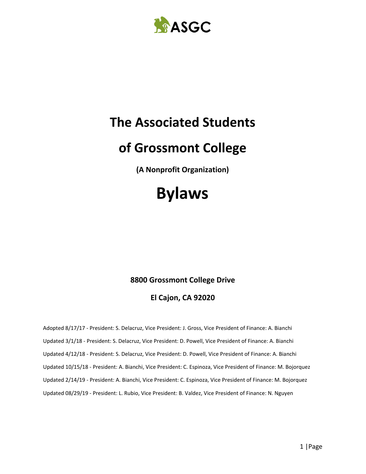

## **The Associated Students**

# **of Grossmont College**

**(A Nonprofit Organization)**

# **Bylaws**

## **8800 Grossmont College Drive**

## **El Cajon, CA 92020**

Adopted 8/17/17 - President: S. Delacruz, Vice President: J. Gross, Vice President of Finance: A. Bianchi Updated 3/1/18 - President: S. Delacruz, Vice President: D. Powell, Vice President of Finance: A. Bianchi Updated 4/12/18 - President: S. Delacruz, Vice President: D. Powell, Vice President of Finance: A. Bianchi Updated 10/15/18 - President: A. Bianchi, Vice President: C. Espinoza, Vice President of Finance: M. Bojorquez Updated 2/14/19 - President: A. Bianchi, Vice President: C. Espinoza, Vice President of Finance: M. Bojorquez Updated 08/29/19 - President: L. Rubio, Vice President: B. Valdez, Vice President of Finance: N. Nguyen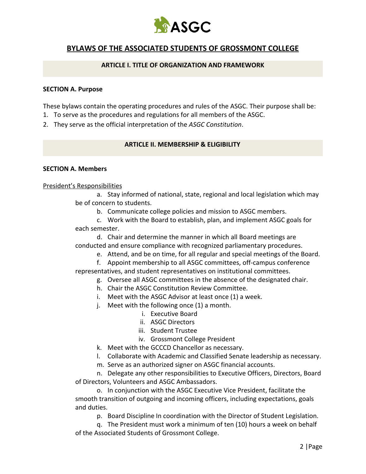

## **BYLAWS OF THE ASSOCIATED STUDENTS OF GROSSMONT COLLEGE**

#### **ARTICLE I. TITLE OF ORGANIZATION AND FRAMEWORK**

#### **SECTION A. Purpose**

These bylaws contain the operating procedures and rules of the ASGC. Their purpose shall be:

- 1. To serve as the procedures and regulations for all members of the ASGC.
- 2. They serve as the official interpretation of the *ASGC Constitution*.

#### **ARTICLE II. MEMBERSHIP & ELIGIBILITY**

#### **SECTION A. Members**

#### President's Responsibilities

a. Stay informed of national, state, regional and local legislation which may be of concern to students.

b. Communicate college policies and mission to ASGC members.

c. Work with the Board to establish, plan, and implement ASGC goals for each semester.

d. Chair and determine the manner in which all Board meetings are conducted and ensure compliance with recognized parliamentary procedures.

e. Attend, and be on time, for all regular and special meetings of the Board.

f. Appoint membership to all ASGC committees, off-campus conference representatives, and student representatives on institutional committees.

- g. Oversee all ASGC committees in the absence of the designated chair.
- h. Chair the ASGC Constitution Review Committee.
- i. Meet with the ASGC Advisor at least once (1) a week.
- j. Meet with the following once (1) a month.
	- i. Executive Board
	- ii. ASGC Directors
	- iii. Student Trustee
	- iv. Grossmont College President
- k. Meet with the GCCCD Chancellor as necessary.
- l. Collaborate with Academic and Classified Senate leadership as necessary.
- m. Serve as an authorized signer on ASGC financial accounts.

n. Delegate any other responsibilities to Executive Officers, Directors, Board of Directors, Volunteers and ASGC Ambassadors.

o. In conjunction with the ASGC Executive Vice President, facilitate the smooth transition of outgoing and incoming officers, including expectations, goals and duties.

p. Board Discipline In coordination with the Director of Student Legislation.

q. The President must work a minimum of ten (10) hours a week on behalf of the Associated Students of Grossmont College.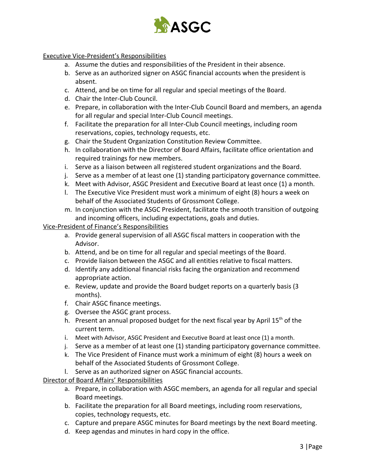

#### Executive Vice-President's Responsibilities

- a. Assume the duties and responsibilities of the President in their absence.
- b. Serve as an authorized signer on ASGC financial accounts when the president is absent.
- c. Attend, and be on time for all regular and special meetings of the Board.
- d. Chair the Inter-Club Council.
- e. Prepare, in collaboration with the Inter-Club Council Board and members, an agenda for all regular and special Inter-Club Council meetings.
- f. Facilitate the preparation for all Inter-Club Council meetings, including room reservations, copies, technology requests, etc.
- g. Chair the Student Organization Constitution Review Committee.
- h. In collaboration with the Director of Board Affairs, facilitate office orientation and required trainings for new members.
- i. Serve as a liaison between all registered student organizations and the Board.
- j. Serve as a member of at least one (1) standing participatory governance committee.
- k. Meet with Advisor, ASGC President and Executive Board at least once (1) a month.
- l. The Executive Vice President must work a minimum of eight (8) hours a week on behalf of the Associated Students of Grossmont College.
- m. In conjunction with the ASGC President, facilitate the smooth transition of outgoing and incoming officers, including expectations, goals and duties.

#### Vice-President of Finance's Responsibilities

- a. Provide general supervision of all ASGC fiscal matters in cooperation with the Advisor.
- b. Attend, and be on time for all regular and special meetings of the Board.
- c. Provide liaison between the ASGC and all entities relative to fiscal matters.
- d. Identify any additional financial risks facing the organization and recommend appropriate action.
- e. Review, update and provide the Board budget reports on a quarterly basis (3 months).
- f. Chair ASGC finance meetings.
- g. Oversee the ASGC grant process.
- h. Present an annual proposed budget for the next fiscal year by April 15<sup>th</sup> of the current term.
- i. Meet with Advisor, ASGC President and Executive Board at least once (1) a month.
- j. Serve as a member of at least one (1) standing participatory governance committee.
- k. The Vice President of Finance must work a minimum of eight (8) hours a week on behalf of the Associated Students of Grossmont College.
- l. Serve as an authorized signer on ASGC financial accounts.

Director of Board Affairs' Responsibilities

- a. Prepare, in collaboration with ASGC members, an agenda for all regular and special Board meetings.
- b. Facilitate the preparation for all Board meetings, including room reservations, copies, technology requests, etc.
- c. Capture and prepare ASGC minutes for Board meetings by the next Board meeting.
- d. Keep agendas and minutes in hard copy in the office.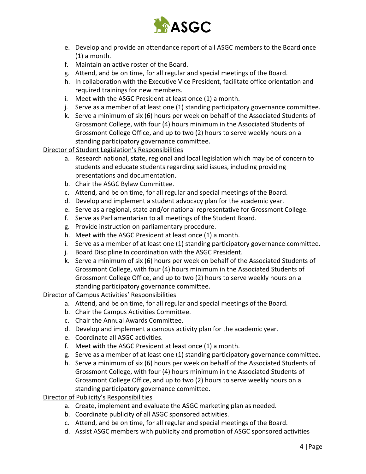

- e. Develop and provide an attendance report of all ASGC members to the Board once (1) a month.
- f. Maintain an active roster of the Board.
- g. Attend, and be on time, for all regular and special meetings of the Board.
- h. In collaboration with the Executive Vice President, facilitate office orientation and required trainings for new members.
- i. Meet with the ASGC President at least once (1) a month.
- j. Serve as a member of at least one (1) standing participatory governance committee.
- k. Serve a minimum of six (6) hours per week on behalf of the Associated Students of Grossmont College, with four (4) hours minimum in the Associated Students of Grossmont College Office, and up to two (2) hours to serve weekly hours on a standing participatory governance committee.

Director of Student Legislation's Responsibilities

- a. Research national, state, regional and local legislation which may be of concern to students and educate students regarding said issues, including providing presentations and documentation.
- b. Chair the ASGC Bylaw Committee.
- c. Attend, and be on time, for all regular and special meetings of the Board.
- d. Develop and implement a student advocacy plan for the academic year.
- e. Serve as a regional, state and/or national representative for Grossmont College.
- f. Serve as Parliamentarian to all meetings of the Student Board.
- g. Provide instruction on parliamentary procedure.
- h. Meet with the ASGC President at least once (1) a month.
- i. Serve as a member of at least one (1) standing participatory governance committee.
- j. Board Discipline In coordination with the ASGC President.
- k. Serve a minimum of six (6) hours per week on behalf of the Associated Students of Grossmont College, with four (4) hours minimum in the Associated Students of Grossmont College Office, and up to two (2) hours to serve weekly hours on a standing participatory governance committee.

#### Director of Campus Activities' Responsibilities

- a. Attend, and be on time, for all regular and special meetings of the Board.
- b. Chair the Campus Activities Committee.
- c. Chair the Annual Awards Committee.
- d. Develop and implement a campus activity plan for the academic year.
- e. Coordinate all ASGC activities.
- f. Meet with the ASGC President at least once (1) a month.
- g. Serve as a member of at least one (1) standing participatory governance committee.
- h. Serve a minimum of six (6) hours per week on behalf of the Associated Students of Grossmont College, with four (4) hours minimum in the Associated Students of Grossmont College Office, and up to two (2) hours to serve weekly hours on a standing participatory governance committee.

Director of Publicity's Responsibilities

- a. Create, implement and evaluate the ASGC marketing plan as needed.
- b. Coordinate publicity of all ASGC sponsored activities.
- c. Attend, and be on time, for all regular and special meetings of the Board.
- d. Assist ASGC members with publicity and promotion of ASGC sponsored activities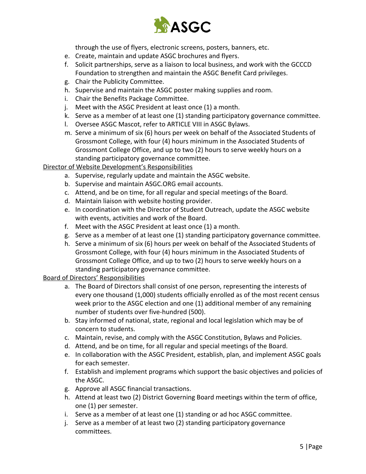

through the use of flyers, electronic screens, posters, banners, etc.

- e. Create, maintain and update ASGC brochures and flyers.
- f. Solicit partnerships, serve as a liaison to local business, and work with the GCCCD Foundation to strengthen and maintain the ASGC Benefit Card privileges.
- g. Chair the Publicity Committee.
- h. Supervise and maintain the ASGC poster making supplies and room.
- i. Chair the Benefits Package Committee.
- j. Meet with the ASGC President at least once (1) a month.
- k. Serve as a member of at least one (1) standing participatory governance committee.
- l. Oversee ASGC Mascot, refer to ARTICLE VIII in ASGC Bylaws.
- m. Serve a minimum of six (6) hours per week on behalf of the Associated Students of Grossmont College, with four (4) hours minimum in the Associated Students of Grossmont College Office, and up to two (2) hours to serve weekly hours on a standing participatory governance committee.

#### Director of Website Development's Responsibilities

- a. Supervise, regularly update and maintain the ASGC website.
- b. Supervise and maintain ASGC.ORG email accounts.
- c. Attend, and be on time, for all regular and special meetings of the Board.
- d. Maintain liaison with website hosting provider.
- e. In coordination with the Director of Student Outreach, update the ASGC website with events, activities and work of the Board.
- f. Meet with the ASGC President at least once (1) a month.
- g. Serve as a member of at least one (1) standing participatory governance committee.
- h. Serve a minimum of six (6) hours per week on behalf of the Associated Students of Grossmont College, with four (4) hours minimum in the Associated Students of Grossmont College Office, and up to two (2) hours to serve weekly hours on a standing participatory governance committee.

#### Board of Directors' Responsibilities

- a. The Board of Directors shall consist of one person, representing the interests of every one thousand (1,000) students officially enrolled as of the most recent census week prior to the ASGC election and one (1) additional member of any remaining number of students over five-hundred (500).
- b. Stay informed of national, state, regional and local legislation which may be of concern to students.
- c. Maintain, revise, and comply with the ASGC Constitution, Bylaws and Policies.
- d. Attend, and be on time, for all regular and special meetings of the Board.
- e. In collaboration with the ASGC President, establish, plan, and implement ASGC goals for each semester.
- f. Establish and implement programs which support the basic objectives and policies of the ASGC.
- g. Approve all ASGC financial transactions.
- h. Attend at least two (2) District Governing Board meetings within the term of office, one (1) per semester.
- i. Serve as a member of at least one (1) standing or ad hoc ASGC committee.
- j. Serve as a member of at least two (2) standing participatory governance committees.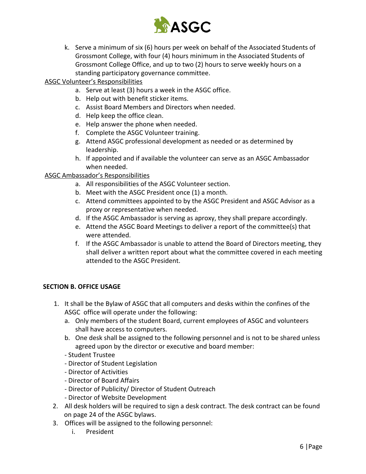

k. Serve a minimum of six (6) hours per week on behalf of the Associated Students of Grossmont College, with four (4) hours minimum in the Associated Students of Grossmont College Office, and up to two (2) hours to serve weekly hours on a standing participatory governance committee.

#### ASGC Volunteer's Responsibilities

- a. Serve at least (3) hours a week in the ASGC office.
- b. Help out with benefit sticker items.
- c. Assist Board Members and Directors when needed.
- d. Help keep the office clean.
- e. Help answer the phone when needed.
- f. Complete the ASGC Volunteer training.
- g. Attend ASGC professional development as needed or as determined by leadership.
- h. If appointed and if available the volunteer can serve as an ASGC Ambassador when needed.

#### ASGC Ambassador's Responsibilities

- a. All responsibilities of the ASGC Volunteer section.
- b. Meet with the ASGC President once (1) a month.
- c. Attend committees appointed to by the ASGC President and ASGC Advisor as a proxy or representative when needed.
- d. If the ASGC Ambassador is serving as aproxy, they shall prepare accordingly.
- e. Attend the ASGC Board Meetings to deliver a report of the committee(s) that were attended.
- f. If the ASGC Ambassador is unable to attend the Board of Directors meeting, they shall deliver a written report about what the committee covered in each meeting attended to the ASGC President.

#### **SECTION B. OFFICE USAGE**

- 1. It shall be the Bylaw of ASGC that all computers and desks within the confines of the ASGC office will operate under the following:
	- a. Only members of the student Board, current employees of ASGC and volunteers shall have access to computers.
	- b. One desk shall be assigned to the following personnel and is not to be shared unless agreed upon by the director or executive and board member:
	- Student Trustee
	- Director of Student Legislation
	- Director of Activities
	- Director of Board Affairs
	- Director of Publicity/ Director of Student Outreach
	- Director of Website Development
- 2. All desk holders will be required to sign a desk contract. The desk contract can be found on page 24 of the ASGC bylaws.
- 3. Offices will be assigned to the following personnel:
	- i. President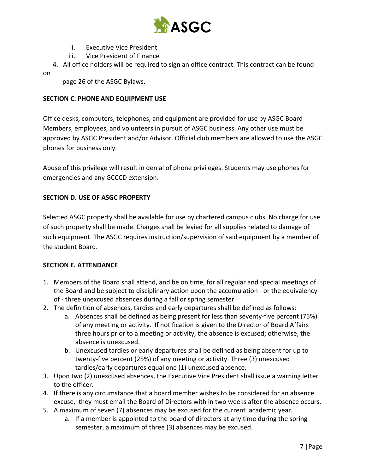

- ii. Executive Vice President
- iii. Vice President of Finance

 4. All office holders will be required to sign an office contract. This contract can be found on

page 26 of the ASGC Bylaws.

#### **SECTION C. PHONE AND EQUIPMENT USE**

Office desks, computers, telephones, and equipment are provided for use by ASGC Board Members, employees, and volunteers in pursuit of ASGC business. Any other use must be approved by ASGC President and/or Advisor. Official club members are allowed to use the ASGC phones for business only.

Abuse of this privilege will result in denial of phone privileges. Students may use phones for emergencies and any GCCCD extension.

#### **SECTION D. USE OF ASGC PROPERTY**

Selected ASGC property shall be available for use by chartered campus clubs. No charge for use of such property shall be made. Charges shall be levied for all supplies related to damage of such equipment. The ASGC requires instruction/supervision of said equipment by a member of the student Board.

#### **SECTION E. ATTENDANCE**

- 1. Members of the Board shall attend, and be on time, for all regular and special meetings of the Board and be subject to disciplinary action upon the accumulation - or the equivalency of - three unexcused absences during a fall or spring semester.
- 2. The definition of absences, tardies and early departures shall be defined as follows:
	- a. Absences shall be defined as being present for less than seventy-five percent (75%) of any meeting or activity. If notification is given to the Director of Board Affairs three hours prior to a meeting or activity, the absence is excused; otherwise, the absence is unexcused.
	- b. Unexcused tardies or early departures shall be defined as being absent for up to twenty-five percent (25%) of any meeting or activity. Three (3) unexcused tardies/early departures equal one (1) unexcused absence.
- 3. Upon two (2) unexcused absences, the Executive Vice President shall issue a warning letter to the officer.
- 4. If there is any circumstance that a board member wishes to be considered for an absence excuse, they must email the Board of Directors with in two weeks after the absence occurs.
- 5. A maximum of seven (7) absences may be excused for the current academic year.
	- a. If a member is appointed to the board of directors at any time during the spring semester, a maximum of three (3) absences may be excused.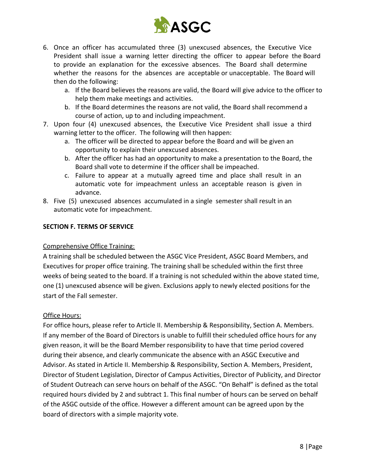

- 6. Once an officer has accumulated three (3) unexcused absences, the Executive Vice President shall issue a warning letter directing the officer to appear before the Board to provide an explanation for the excessive absences. The Board shall determine whether the reasons for the absences are acceptable or unacceptable. The Board will then do the following:
	- a. If the Board believes the reasons are valid, the Board will give advice to the officer to help them make meetings and activities.
	- b. If the Board determines the reasons are not valid, the Board shall recommend a course of action, up to and including impeachment.
- 7. Upon four (4) unexcused absences, the Executive Vice President shall issue a third warning letter to the officer. The following will then happen:
	- a. The officer will be directed to appear before the Board and will be given an opportunity to explain their unexcused absences.
	- b. After the officer has had an opportunity to make a presentation to the Board, the Board shall vote to determine if the officer shall be impeached.
	- c. Failure to appear at a mutually agreed time and place shall result in an automatic vote for impeachment unless an acceptable reason is given in advance.
- 8. Five (5) unexcused absences accumulated in a single semester shall result in an automatic vote for impeachment.

#### **SECTION F. TERMS OF SERVICE**

#### Comprehensive Office Training:

A training shall be scheduled between the ASGC Vice President, ASGC Board Members, and Executives for proper office training. The training shall be scheduled within the first three weeks of being seated to the board. If a training is not scheduled within the above stated time, one (1) unexcused absence will be given. Exclusions apply to newly elected positions for the start of the Fall semester.

#### Office Hours:

For office hours, please refer to Article II. Membership & Responsibility, Section A. Members. If any member of the Board of Directors is unable to fulfill their scheduled office hours for any given reason, it will be the Board Member responsibility to have that time period covered during their absence, and clearly communicate the absence with an ASGC Executive and Advisor. As stated in Article II. Membership & Responsibility, Section A. Members, President, Director of Student Legislation, Director of Campus Activities, Director of Publicity, and Director of Student Outreach can serve hours on behalf of the ASGC. "On Behalf" is defined as the total required hours divided by 2 and subtract 1. This final number of hours can be served on behalf of the ASGC outside of the office. However a different amount can be agreed upon by the board of directors with a simple majority vote.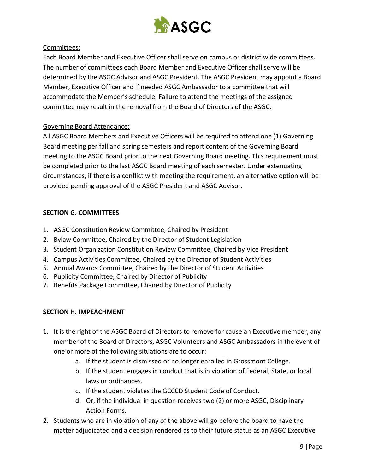

#### Committees:

Each Board Member and Executive Officer shall serve on campus or district wide committees. The number of committees each Board Member and Executive Officer shall serve will be determined by the ASGC Advisor and ASGC President. The ASGC President may appoint a Board Member, Executive Officer and if needed ASGC Ambassador to a committee that will accommodate the Member's schedule. Failure to attend the meetings of the assigned committee may result in the removal from the Board of Directors of the ASGC.

#### Governing Board Attendance:

All ASGC Board Members and Executive Officers will be required to attend one (1) Governing Board meeting per fall and spring semesters and report content of the Governing Board meeting to the ASGC Board prior to the next Governing Board meeting. This requirement must be completed prior to the last ASGC Board meeting of each semester. Under extenuating circumstances, if there is a conflict with meeting the requirement, an alternative option will be provided pending approval of the ASGC President and ASGC Advisor.

#### **SECTION G. COMMITTEES**

- 1. ASGC Constitution Review Committee, Chaired by President
- 2. Bylaw Committee, Chaired by the Director of Student Legislation
- 3. Student Organization Constitution Review Committee, Chaired by Vice President
- 4. Campus Activities Committee, Chaired by the Director of Student Activities
- 5. Annual Awards Committee, Chaired by the Director of Student Activities
- 6. Publicity Committee, Chaired by Director of Publicity
- 7. Benefits Package Committee, Chaired by Director of Publicity

#### **SECTION H. IMPEACHMENT**

- 1. It is the right of the ASGC Board of Directors to remove for cause an Executive member, any member of the Board of Directors, ASGC Volunteers and ASGC Ambassadors in the event of one or more of the following situations are to occur:
	- a. If the student is dismissed or no longer enrolled in Grossmont College.
	- b. If the student engages in conduct that is in violation of Federal, State, or local laws or ordinances.
	- c. If the student violates the GCCCD Student Code of Conduct.
	- d. Or, if the individual in question receives two (2) or more ASGC, Disciplinary Action Forms.
- 2. Students who are in violation of any of the above will go before the board to have the matter adjudicated and a decision rendered as to their future status as an ASGC Executive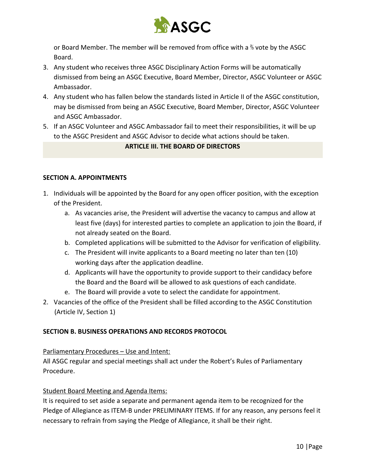

or Board Member. The member will be removed from office with a ⅔ vote by the ASGC Board.

- 3. Any student who receives three ASGC Disciplinary Action Forms will be automatically dismissed from being an ASGC Executive, Board Member, Director, ASGC Volunteer or ASGC Ambassador.
- 4. Any student who has fallen below the standards listed in Article II of the ASGC constitution, may be dismissed from being an ASGC Executive, Board Member, Director, ASGC Volunteer and ASGC Ambassador.
- 5. If an ASGC Volunteer and ASGC Ambassador fail to meet their responsibilities, it will be up to the ASGC President and ASGC Advisor to decide what actions should be taken.

#### **ARTICLE III. THE BOARD OF DIRECTORS**

#### **SECTION A. APPOINTMENTS**

- 1. Individuals will be appointed by the Board for any open officer position, with the exception of the President.
	- a. As vacancies arise, the President will advertise the vacancy to campus and allow at least five (days) for interested parties to complete an application to join the Board, if not already seated on the Board.
	- b. Completed applications will be submitted to the Advisor for verification of eligibility.
	- c. The President will invite applicants to a Board meeting no later than ten (10) working days after the application deadline.
	- d. Applicants will have the opportunity to provide support to their candidacy before the Board and the Board will be allowed to ask questions of each candidate.
	- e. The Board will provide a vote to select the candidate for appointment.
- 2. Vacancies of the office of the President shall be filled according to the ASGC Constitution (Article IV, Section 1)

#### **SECTION B. BUSINESS OPERATIONS AND RECORDS PROTOCOL**

#### Parliamentary Procedures – Use and Intent:

All ASGC regular and special meetings shall act under the Robert's Rules of Parliamentary Procedure.

#### Student Board Meeting and Agenda Items:

It is required to set aside a separate and permanent agenda item to be recognized for the Pledge of Allegiance as ITEM-B under PRELIMINARY ITEMS. If for any reason, any persons feel it necessary to refrain from saying the Pledge of Allegiance, it shall be their right.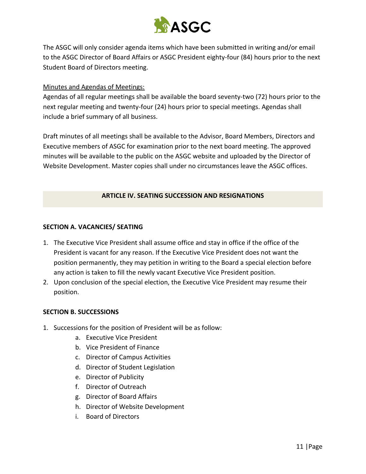

The ASGC will only consider agenda items which have been submitted in writing and/or email to the ASGC Director of Board Affairs or ASGC President eighty-four (84) hours prior to the next Student Board of Directors meeting.

#### Minutes and Agendas of Meetings:

Agendas of all regular meetings shall be available the board seventy-two (72) hours prior to the next regular meeting and twenty-four (24) hours prior to special meetings. Agendas shall include a brief summary of all business.

Draft minutes of all meetings shall be available to the Advisor, Board Members, Directors and Executive members of ASGC for examination prior to the next board meeting. The approved minutes will be available to the public on the ASGC website and uploaded by the Director of Website Development. Master copies shall under no circumstances leave the ASGC offices.

#### **ARTICLE IV. SEATING SUCCESSION AND RESIGNATIONS**

#### **SECTION A. VACANCIES/ SEATING**

- 1. The Executive Vice President shall assume office and stay in office if the office of the President is vacant for any reason. If the Executive Vice President does not want the position permanently, they may petition in writing to the Board a special election before any action is taken to fill the newly vacant Executive Vice President position.
- 2. Upon conclusion of the special election, the Executive Vice President may resume their position.

#### **SECTION B. SUCCESSIONS**

- 1. Successions for the position of President will be as follow:
	- a. Executive Vice President
	- b. Vice President of Finance
	- c. Director of Campus Activities
	- d. Director of Student Legislation
	- e. Director of Publicity
	- f. Director of Outreach
	- g. Director of Board Affairs
	- h. Director of Website Development
	- i. Board of Directors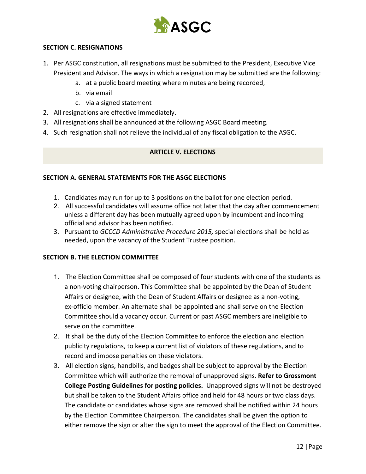

#### **SECTION C. RESIGNATIONS**

- 1. Per ASGC constitution, all resignations must be submitted to the President, Executive Vice President and Advisor. The ways in which a resignation may be submitted are the following:
	- a. at a public board meeting where minutes are being recorded,
	- b. via email
	- c. via a signed statement
- 2. All resignations are effective immediately.
- 3. All resignations shall be announced at the following ASGC Board meeting.
- 4. Such resignation shall not relieve the individual of any fiscal obligation to the ASGC.

#### **ARTICLE V. ELECTIONS**

#### **SECTION A. GENERAL STATEMENTS FOR THE ASGC ELECTIONS**

- 1. Candidates may run for up to 3 positions on the ballot for one election period.
- 2. All successful candidates will assume office not later that the day after commencement unless a different day has been mutually agreed upon by incumbent and incoming official and advisor has been notified.
- 3. Pursuant to *GCCCD Administrative Procedure 2015,* special elections shall be held as needed, upon the vacancy of the Student Trustee position.

#### **SECTION B. THE ELECTION COMMITTEE**

- 1. The Election Committee shall be composed of four students with one of the students as a non-voting chairperson. This Committee shall be appointed by the Dean of Student Affairs or designee, with the Dean of Student Affairs or designee as a non-voting, ex-officio member. An alternate shall be appointed and shall serve on the Election Committee should a vacancy occur. Current or past ASGC members are ineligible to serve on the committee.
- 2. It shall be the duty of the Election Committee to enforce the election and election publicity regulations, to keep a current list of violators of these regulations, and to record and impose penalties on these violators.
- 3. All election signs, handbills, and badges shall be subject to approval by the Election Committee which will authorize the removal of unapproved signs. **Refer to Grossmont College Posting Guidelines for posting policies.** Unapproved signs will not be destroyed but shall be taken to the Student Affairs office and held for 48 hours or two class days. The candidate or candidates whose signs are removed shall be notified within 24 hours by the Election Committee Chairperson. The candidates shall be given the option to either remove the sign or alter the sign to meet the approval of the Election Committee.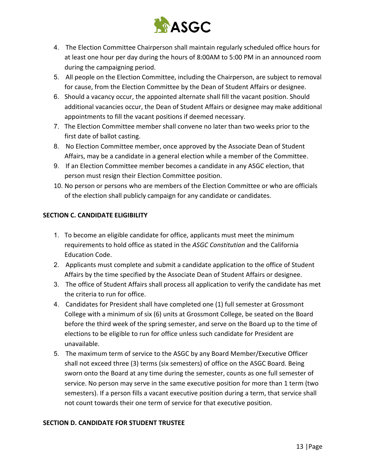

- 4. The Election Committee Chairperson shall maintain regularly scheduled office hours for at least one hour per day during the hours of 8:00AM to 5:00 PM in an announced room during the campaigning period.
- 5. All people on the Election Committee, including the Chairperson, are subject to removal for cause, from the Election Committee by the Dean of Student Affairs or designee.
- 6. Should a vacancy occur, the appointed alternate shall fill the vacant position. Should additional vacancies occur, the Dean of Student Affairs or designee may make additional appointments to fill the vacant positions if deemed necessary.
- 7. The Election Committee member shall convene no later than two weeks prior to the first date of ballot casting.
- 8. No Election Committee member, once approved by the Associate Dean of Student Affairs, may be a candidate in a general election while a member of the Committee.
- 9. If an Election Committee member becomes a candidate in any ASGC election, that person must resign their Election Committee position.
- 10. No person or persons who are members of the Election Committee or who are officials of the election shall publicly campaign for any candidate or candidates.

### **SECTION C. CANDIDATE ELIGIBILITY**

- 1. To become an eligible candidate for office, applicants must meet the minimum requirements to hold office as stated in the *ASGC Constitution* and the California Education Code.
- 2. Applicants must complete and submit a candidate application to the office of Student Affairs by the time specified by the Associate Dean of Student Affairs or designee.
- 3. The office of Student Affairs shall process all application to verify the candidate has met the criteria to run for office.
- 4. Candidates for President shall have completed one (1) full semester at Grossmont College with a minimum of six (6) units at Grossmont College, be seated on the Board before the third week of the spring semester, and serve on the Board up to the time of elections to be eligible to run for office unless such candidate for President are unavailable.
- 5. The maximum term of service to the ASGC by any Board Member/Executive Officer shall not exceed three (3) terms (six semesters) of office on the ASGC Board. Being sworn onto the Board at any time during the semester, counts as one full semester of service. No person may serve in the same executive position for more than 1 term (two semesters). If a person fills a vacant executive position during a term, that service shall not count towards their one term of service for that executive position.

#### **SECTION D. CANDIDATE FOR STUDENT TRUSTEE**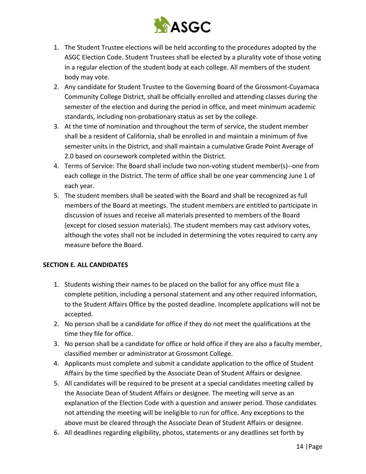

- 1. The Student Trustee elections will be held according to the procedures adopted by the ASGC Election Code. Student Trustees shall be elected by a plurality vote of those voting in a regular election of the student body at each college. All members of the student body may vote.
- 2. Any candidate for Student Trustee to the Governing Board of the Grossmont-Cuyamaca Community College District, shall be officially enrolled and attending classes during the semester of the election and during the period in office, and meet minimum academic standards, including non-probationary status as set by the college.
- 3. At the time of nomination and throughout the term of service, the student member shall be a resident of California, shall be enrolled in and maintain a minimum of five semester units in the District, and shall maintain a cumulative Grade Point Average of 2.0 based on coursework completed within the District.
- 4. Terms of Service: The Board shall include two non-voting student member(s)--one from each college in the District. The term of office shall be one year commencing June 1 of each year.
- 5. The student members shall be seated with the Board and shall be recognized as full members of the Board at meetings. The student members are entitled to participate in discussion of issues and receive all materials presented to members of the Board (except for closed session materials). The student members may cast advisory votes, although the votes shall not be included in determining the votes required to carry any measure before the Board.

#### **SECTION E. ALL CANDIDATES**

- 1. Students wishing their names to be placed on the ballot for any office must file a complete petition, including a personal statement and any other required information, to the Student Affairs Office by the posted deadline. Incomplete applications will not be accepted.
- 2. No person shall be a candidate for office if they do not meet the qualifications at the time they file for office.
- 3. No person shall be a candidate for office or hold office if they are also a faculty member, classified member or administrator at Grossmont College.
- 4. Applicants must complete and submit a candidate application to the office of Student Affairs by the time specified by the Associate Dean of Student Affairs or designee.
- 5. All candidates will be required to be present at a special candidates meeting called by the Associate Dean of Student Affairs or designee. The meeting will serve as an explanation of the Election Code with a question and answer period. Those candidates not attending the meeting will be ineligible to run for office. Any exceptions to the above must be cleared through the Associate Dean of Student Affairs or designee.
- 6. All deadlines regarding eligibility, photos, statements or any deadlines set forth by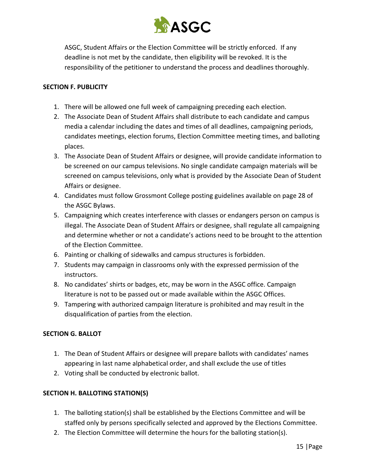

ASGC, Student Affairs or the Election Committee will be strictly enforced. If any deadline is not met by the candidate, then eligibility will be revoked. It is the responsibility of the petitioner to understand the process and deadlines thoroughly.

#### **SECTION F. PUBLICITY**

- 1. There will be allowed one full week of campaigning preceding each election.
- 2. The Associate Dean of Student Affairs shall distribute to each candidate and campus media a calendar including the dates and times of all deadlines, campaigning periods, candidates meetings, election forums, Election Committee meeting times, and balloting places.
- 3. The Associate Dean of Student Affairs or designee, will provide candidate information to be screened on our campus televisions. No single candidate campaign materials will be screened on campus televisions, only what is provided by the Associate Dean of Student Affairs or designee.
- 4. Candidates must follow Grossmont College posting guidelines available on page 28 of the ASGC Bylaws.
- 5. Campaigning which creates interference with classes or endangers person on campus is illegal. The Associate Dean of Student Affairs or designee, shall regulate all campaigning and determine whether or not a candidate's actions need to be brought to the attention of the Election Committee.
- 6. Painting or chalking of sidewalks and campus structures is forbidden.
- 7. Students may campaign in classrooms only with the expressed permission of the instructors.
- 8. No candidates' shirts or badges, etc, may be worn in the ASGC office. Campaign literature is not to be passed out or made available within the ASGC Offices.
- 9. Tampering with authorized campaign literature is prohibited and may result in the disqualification of parties from the election.

#### **SECTION G. BALLOT**

- 1. The Dean of Student Affairs or designee will prepare ballots with candidates' names appearing in last name alphabetical order, and shall exclude the use of titles
- 2. Voting shall be conducted by electronic ballot.

#### **SECTION H. BALLOTING STATION(S)**

- 1. The balloting station(s) shall be established by the Elections Committee and will be staffed only by persons specifically selected and approved by the Elections Committee.
- 2. The Election Committee will determine the hours for the balloting station(s).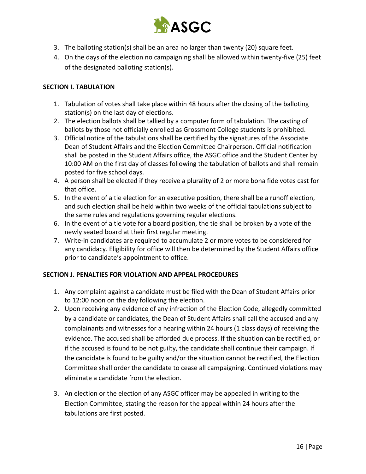

- 3. The balloting station(s) shall be an area no larger than twenty (20) square feet.
- 4. On the days of the election no campaigning shall be allowed within twenty-five (25) feet of the designated balloting station(s).

#### **SECTION I. TABULATION**

- 1. Tabulation of votes shall take place within 48 hours after the closing of the balloting station(s) on the last day of elections.
- 2. The election ballots shall be tallied by a computer form of tabulation. The casting of ballots by those not officially enrolled as Grossmont College students is prohibited.
- 3. Official notice of the tabulations shall be certified by the signatures of the Associate Dean of Student Affairs and the Election Committee Chairperson. Official notification shall be posted in the Student Affairs office, the ASGC office and the Student Center by 10:00 AM on the first day of classes following the tabulation of ballots and shall remain posted for five school days.
- 4. A person shall be elected if they receive a plurality of 2 or more bona fide votes cast for that office.
- 5. In the event of a tie election for an executive position, there shall be a runoff election, and such election shall be held within two weeks of the official tabulations subject to the same rules and regulations governing regular elections.
- 6. In the event of a tie vote for a board position, the tie shall be broken by a vote of the newly seated board at their first regular meeting.
- 7. Write-in candidates are required to accumulate 2 or more votes to be considered for any candidacy. Eligibility for office will then be determined by the Student Affairs office prior to candidate's appointment to office.

#### **SECTION J. PENALTIES FOR VIOLATION AND APPEAL PROCEDURES**

- 1. Any complaint against a candidate must be filed with the Dean of Student Affairs prior to 12:00 noon on the day following the election.
- 2. Upon receiving any evidence of any infraction of the Election Code, allegedly committed by a candidate or candidates, the Dean of Student Affairs shall call the accused and any complainants and witnesses for a hearing within 24 hours (1 class days) of receiving the evidence. The accused shall be afforded due process. If the situation can be rectified, or if the accused is found to be not guilty, the candidate shall continue their campaign. If the candidate is found to be guilty and/or the situation cannot be rectified, the Election Committee shall order the candidate to cease all campaigning. Continued violations may eliminate a candidate from the election.
- 3. An election or the election of any ASGC officer may be appealed in writing to the Election Committee, stating the reason for the appeal within 24 hours after the tabulations are first posted.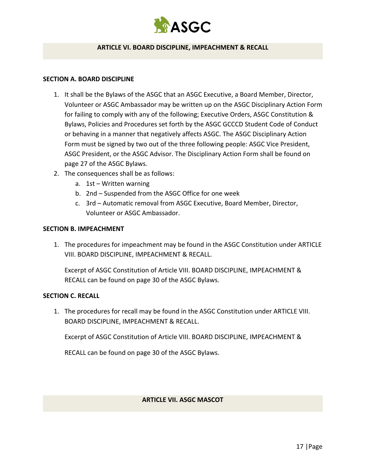

#### **ARTICLE VI. BOARD DISCIPLINE, IMPEACHMENT & RECALL**

#### **SECTION A. BOARD DISCIPLINE**

- 1. It shall be the Bylaws of the ASGC that an ASGC Executive, a Board Member, Director, Volunteer or ASGC Ambassador may be written up on the ASGC Disciplinary Action Form for failing to comply with any of the following; Executive Orders, ASGC Constitution & Bylaws, Policies and Procedures set forth by the ASGC GCCCD Student Code of Conduct or behaving in a manner that negatively affects ASGC. The ASGC Disciplinary Action Form must be signed by two out of the three following people: ASGC Vice President, ASGC President, or the ASGC Advisor. The Disciplinary Action Form shall be found on page 27 of the ASGC Bylaws.
- 2. The consequences shall be as follows:
	- a. 1st Written warning
	- b. 2nd Suspended from the ASGC Office for one week
	- c. 3rd Automatic removal from ASGC Executive, Board Member, Director, Volunteer or ASGC Ambassador.

#### **SECTION B. IMPEACHMENT**

1. The procedures for impeachment may be found in the ASGC Constitution under ARTICLE VIII. BOARD DISCIPLINE, IMPEACHMENT & RECALL.

Excerpt of ASGC Constitution of Article VIII. BOARD DISCIPLINE, IMPEACHMENT & RECALL can be found on page 30 of the ASGC Bylaws.

#### **SECTION C. RECALL**

1. The procedures for recall may be found in the ASGC Constitution under ARTICLE VIII. BOARD DISCIPLINE, IMPEACHMENT & RECALL.

Excerpt of ASGC Constitution of Article VIII. BOARD DISCIPLINE, IMPEACHMENT &

RECALL can be found on page 30 of the ASGC Bylaws.

#### **ARTICLE VII. ASGC MASCOT**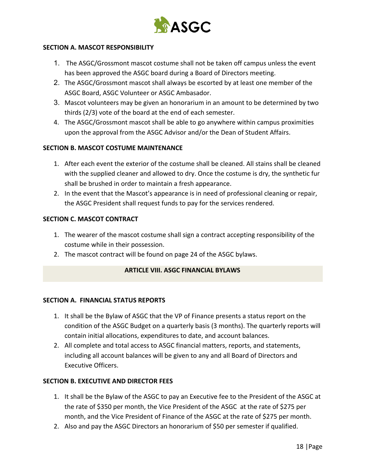

#### **SECTION A. MASCOT RESPONSIBILITY**

- 1. The ASGC/Grossmont mascot costume shall not be taken off campus unless the event has been approved the ASGC board during a Board of Directors meeting.
- 2. The ASGC/Grossmont mascot shall always be escorted by at least one member of the ASGC Board, ASGC Volunteer or ASGC Ambasador.
- 3. Mascot volunteers may be given an honorarium in an amount to be determined by two thirds (2/3) vote of the board at the end of each semester.
- 4. The ASGC/Grossmont mascot shall be able to go anywhere within campus proximities upon the approval from the ASGC Advisor and/or the Dean of Student Affairs.

#### **SECTION B. MASCOT COSTUME MAINTENANCE**

- 1. After each event the exterior of the costume shall be cleaned. All stains shall be cleaned with the supplied cleaner and allowed to dry. Once the costume is dry, the synthetic fur shall be brushed in order to maintain a fresh appearance.
- 2. In the event that the Mascot's appearance is in need of professional cleaning or repair, the ASGC President shall request funds to pay for the services rendered.

#### **SECTION C. MASCOT CONTRACT**

- 1. The wearer of the mascot costume shall sign a contract accepting responsibility of the costume while in their possession.
- 2. The mascot contract will be found on page 24 of the ASGC bylaws.

#### **ARTICLE VIII. ASGC FINANCIAL BYLAWS**

#### **SECTION A. FINANCIAL STATUS REPORTS**

- 1. It shall be the Bylaw of ASGC that the VP of Finance presents a status report on the condition of the ASGC Budget on a quarterly basis (3 months). The quarterly reports will contain initial allocations, expenditures to date, and account balances.
- 2. All complete and total access to ASGC financial matters, reports, and statements, including all account balances will be given to any and all Board of Directors and Executive Officers.

#### **SECTION B. EXECUTIVE AND DIRECTOR FEES**

- 1. It shall be the Bylaw of the ASGC to pay an Executive fee to the President of the ASGC at the rate of \$350 per month, the Vice President of the ASGC at the rate of \$275 per month, and the Vice President of Finance of the ASGC at the rate of \$275 per month.
- 2. Also and pay the ASGC Directors an honorarium of \$50 per semester if qualified.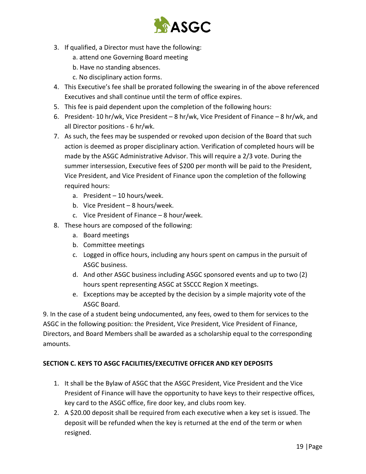

- 3. If qualified, a Director must have the following:
	- a. attend one Governing Board meeting
	- b. Have no standing absences.
	- c. No disciplinary action forms.
- 4. This Executive's fee shall be prorated following the swearing in of the above referenced Executives and shall continue until the term of office expires.
- 5. This fee is paid dependent upon the completion of the following hours:
- 6. President- 10 hr/wk, Vice President 8 hr/wk, Vice President of Finance 8 hr/wk, and all Director positions - 6 hr/wk.
- 7. As such, the fees may be suspended or revoked upon decision of the Board that such action is deemed as proper disciplinary action. Verification of completed hours will be made by the ASGC Administrative Advisor. This will require a 2/3 vote. During the summer intersession, Executive fees of \$200 per month will be paid to the President, Vice President, and Vice President of Finance upon the completion of the following required hours:
	- a. President 10 hours/week.
	- b. Vice President 8 hours/week.
	- c. Vice President of Finance 8 hour/week.
- 8. These hours are composed of the following:
	- a. Board meetings
	- b. Committee meetings
	- c. Logged in office hours, including any hours spent on campus in the pursuit of ASGC business.
	- d. And other ASGC business including ASGC sponsored events and up to two (2) hours spent representing ASGC at SSCCC Region X meetings.
	- e. Exceptions may be accepted by the decision by a simple majority vote of the ASGC Board.

9. In the case of a student being undocumented, any fees, owed to them for services to the ASGC in the following position: the President, Vice President, Vice President of Finance, Directors, and Board Members shall be awarded as a scholarship equal to the corresponding amounts.

#### **SECTION C. KEYS TO ASGC FACILITIES/EXECUTIVE OFFICER AND KEY DEPOSITS**

- 1. It shall be the Bylaw of ASGC that the ASGC President, Vice President and the Vice President of Finance will have the opportunity to have keys to their respective offices, key card to the ASGC office, fire door key, and clubs room key.
- 2. A \$20.00 deposit shall be required from each executive when a key set is issued. The deposit will be refunded when the key is returned at the end of the term or when resigned.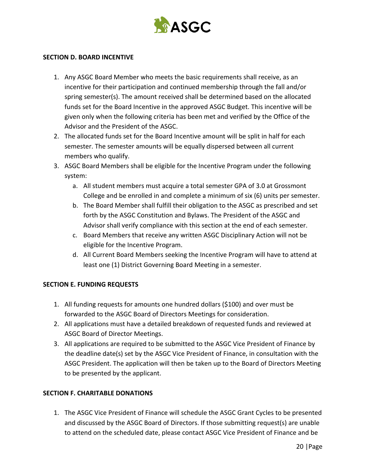

#### **SECTION D. BOARD INCENTIVE**

- 1. Any ASGC Board Member who meets the basic requirements shall receive, as an incentive for their participation and continued membership through the fall and/or spring semester(s). The amount received shall be determined based on the allocated funds set for the Board Incentive in the approved ASGC Budget. This incentive will be given only when the following criteria has been met and verified by the Office of the Advisor and the President of the ASGC.
- 2. The allocated funds set for the Board Incentive amount will be split in half for each semester. The semester amounts will be equally dispersed between all current members who qualify.
- 3. ASGC Board Members shall be eligible for the Incentive Program under the following system:
	- a. All student members must acquire a total semester GPA of 3.0 at Grossmont College and be enrolled in and complete a minimum of six (6) units per semester.
	- b. The Board Member shall fulfill their obligation to the ASGC as prescribed and set forth by the ASGC Constitution and Bylaws. The President of the ASGC and Advisor shall verify compliance with this section at the end of each semester.
	- c. Board Members that receive any written ASGC Disciplinary Action will not be eligible for the Incentive Program.
	- d. All Current Board Members seeking the Incentive Program will have to attend at least one (1) District Governing Board Meeting in a semester.

#### **SECTION E. FUNDING REQUESTS**

- 1. All funding requests for amounts one hundred dollars (\$100) and over must be forwarded to the ASGC Board of Directors Meetings for consideration.
- 2. All applications must have a detailed breakdown of requested funds and reviewed at ASGC Board of Director Meetings.
- 3. All applications are required to be submitted to the ASGC Vice President of Finance by the deadline date(s) set by the ASGC Vice President of Finance, in consultation with the ASGC President. The application will then be taken up to the Board of Directors Meeting to be presented by the applicant.

#### **SECTION F. CHARITABLE DONATIONS**

1. The ASGC Vice President of Finance will schedule the ASGC Grant Cycles to be presented and discussed by the ASGC Board of Directors. If those submitting request(s) are unable to attend on the scheduled date, please contact ASGC Vice President of Finance and be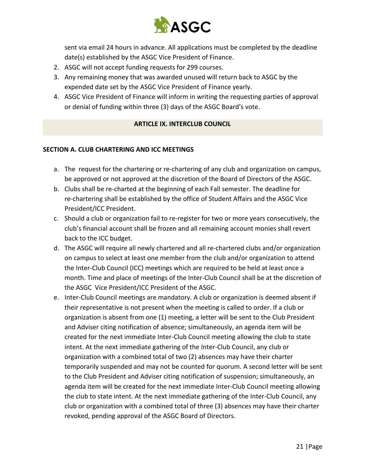

sent via email 24 hours in advance. All applications must be completed by the deadline date(s) established by the ASGC Vice President of Finance.

- 2. ASGC will not accept funding requests for 299 courses.
- 3. Any remaining money that was awarded unused will return back to ASGC by the expended date set by the ASGC Vice President of Finance yearly.
- 4. ASGC Vice President of Finance will inform in writing the requesting parties of approval or denial of funding within three (3) days of the ASGC Board's vote.

#### **ARTICLE IX. INTERCLUB COUNCIL**

#### **SECTION A. CLUB CHARTERING AND ICC MEETINGS**

- a. The request for the chartering or re-chartering of any club and organization on campus, be approved or not approved at the discretion of the Board of Directors of the ASGC.
- b. Clubs shall be re-charted at the beginning of each Fall semester. The deadline for re-chartering shall be established by the office of Student Affairs and the ASGC Vice President/ICC President.
- c. Should a club or organization fail to re-register for two or more years consecutively, the club's financial account shall be frozen and all remaining account monies shall revert back to the ICC budget.
- d. The ASGC will require all newly chartered and all re-chartered clubs and/or organization on campus to select at least one member from the club and/or organization to attend the Inter-Club Council (ICC) meetings which are required to be held at least once a month. Time and place of meetings of the Inter-Club Council shall be at the discretion of the ASGC Vice President/ICC President of the ASGC.
- e. Inter-Club Council meetings are mandatory. A club or organization is deemed absent if their representative is not present when the meeting is called to order. If a club or organization is absent from one (1) meeting, a letter will be sent to the Club President and Adviser citing notification of absence; simultaneously, an agenda item will be created for the next immediate Inter-Club Council meeting allowing the club to state intent. At the next immediate gathering of the Inter-Club Council, any club or organization with a combined total of two (2) absences may have their charter temporarily suspended and may not be counted for quorum. A second letter will be sent to the Club President and Adviser citing notification of suspension; simultaneously, an agenda item will be created for the next immediate Inter-Club Council meeting allowing the club to state intent. At the next immediate gathering of the Inter-Club Council, any club or organization with a combined total of three (3) absences may have their charter revoked, pending approval of the ASGC Board of Directors.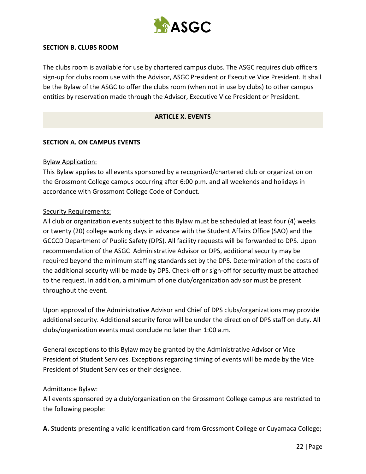

#### **SECTION B. CLUBS ROOM**

The clubs room is available for use by chartered campus clubs. The ASGC requires club officers sign-up for clubs room use with the Advisor, ASGC President or Executive Vice President. It shall be the Bylaw of the ASGC to offer the clubs room (when not in use by clubs) to other campus entities by reservation made through the Advisor, Executive Vice President or President.

#### **ARTICLE X. EVENTS**

#### **SECTION A. ON CAMPUS EVENTS**

#### Bylaw Application:

This Bylaw applies to all events sponsored by a recognized/chartered club or organization on the Grossmont College campus occurring after 6:00 p.m. and all weekends and holidays in accordance with Grossmont College Code of Conduct.

#### Security Requirements:

All club or organization events subject to this Bylaw must be scheduled at least four (4) weeks or twenty (20) college working days in advance with the Student Affairs Office (SAO) and the GCCCD Department of Public Safety (DPS). All facility requests will be forwarded to DPS. Upon recommendation of the ASGC Administrative Advisor or DPS, additional security may be required beyond the minimum staffing standards set by the DPS. Determination of the costs of the additional security will be made by DPS. Check-off or sign-off for security must be attached to the request. In addition, a minimum of one club/organization advisor must be present throughout the event.

Upon approval of the Administrative Advisor and Chief of DPS clubs/organizations may provide additional security. Additional security force will be under the direction of DPS staff on duty. All clubs/organization events must conclude no later than 1:00 a.m.

General exceptions to this Bylaw may be granted by the Administrative Advisor or Vice President of Student Services. Exceptions regarding timing of events will be made by the Vice President of Student Services or their designee.

#### Admittance Bylaw:

All events sponsored by a club/organization on the Grossmont College campus are restricted to the following people:

A. Students presenting a valid identification card from Grossmont College or Cuyamaca College;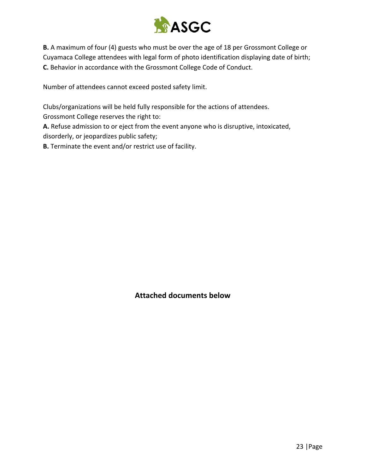

**B.** A maximum of four (4) guests who must be over the age of 18 per Grossmont College or Cuyamaca College attendees with legal form of photo identification displaying date of birth; **C.** Behavior in accordance with the Grossmont College Code of Conduct.

Number of attendees cannot exceed posted safety limit.

Clubs/organizations will be held fully responsible for the actions of attendees.

Grossmont College reserves the right to:

**A.** Refuse admission to or eject from the event anyone who is disruptive, intoxicated, disorderly, or jeopardizes public safety;

**B.** Terminate the event and/or restrict use of facility.

**Attached documents below**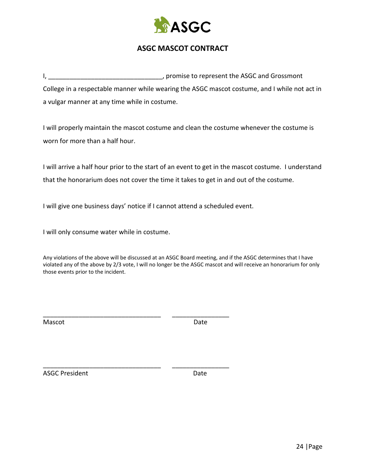

## **ASGC MASCOT CONTRACT**

I, **I** and I also are the MSC and Grossmont of the ASGC and Grossmont College in a respectable manner while wearing the ASGC mascot costume, and I while not act in a vulgar manner at any time while in costume.

I will properly maintain the mascot costume and clean the costume whenever the costume is worn for more than a half hour.

I will arrive a half hour prior to the start of an event to get in the mascot costume. I understand that the honorarium does not cover the time it takes to get in and out of the costume.

I will give one business days' notice if I cannot attend a scheduled event.

\_\_\_\_\_\_\_\_\_\_\_\_\_\_\_\_\_\_\_\_\_\_\_\_\_\_\_\_\_\_\_\_\_ \_\_\_\_\_\_\_\_\_\_\_\_\_\_\_\_

\_\_\_\_\_\_\_\_\_\_\_\_\_\_\_\_\_\_\_\_\_\_\_\_\_\_\_\_\_\_\_\_\_ \_\_\_\_\_\_\_\_\_\_\_\_\_\_\_\_

I will only consume water while in costume.

Any violations of the above will be discussed at an ASGC Board meeting, and if the ASGC determines that I have violated any of the above by 2/3 vote, I will no longer be the ASGC mascot and will receive an honorarium for only those events prior to the incident.

Mascot **Date** 

ASGC President **Date**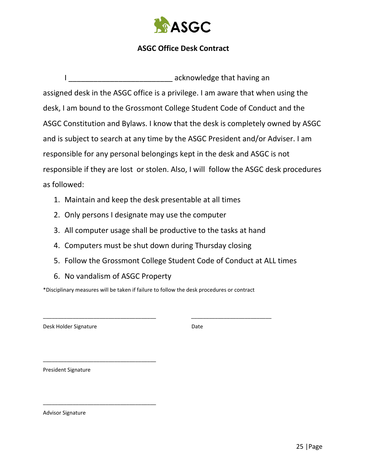

## **ASGC Office Desk Contract**

I acknowledge that having an assigned desk in the ASGC office is a privilege. I am aware that when using the desk, I am bound to the Grossmont College Student Code of Conduct and the ASGC Constitution and Bylaws. I know that the desk is completely owned by ASGC and is subject to search at any time by the ASGC President and/or Adviser. I am responsible for any personal belongings kept in the desk and ASGC is not responsible if they are lost or stolen. Also, I will follow the ASGC desk procedures as followed:

- 1. Maintain and keep the desk presentable at all times
- 2. Only persons I designate may use the computer
- 3. All computer usage shall be productive to the tasks at hand
- 4. Computers must be shut down during Thursday closing
- 5. Follow the Grossmont College Student Code of Conduct at ALL times
- 6. No vandalism of ASGC Property

\_\_\_\_\_\_\_\_\_\_\_\_\_\_\_\_\_\_\_\_\_\_\_\_\_\_\_\_\_\_\_\_\_\_\_\_\_\_

\_\_\_\_\_\_\_\_\_\_\_\_\_\_\_\_\_\_\_\_\_\_\_\_\_\_\_\_\_\_\_\_\_\_\_\_\_\_

\*Disciplinary measures will be taken if failure to follow the desk procedures or contract

\_\_\_\_\_\_\_\_\_\_\_\_\_\_\_\_\_\_\_\_\_\_\_\_\_\_\_\_\_\_\_\_\_\_\_\_\_\_ \_\_\_\_\_\_\_\_\_\_\_\_\_\_\_\_\_\_\_\_\_\_\_\_\_\_\_

Desk Holder Signature Date

President Signature

Advisor Signature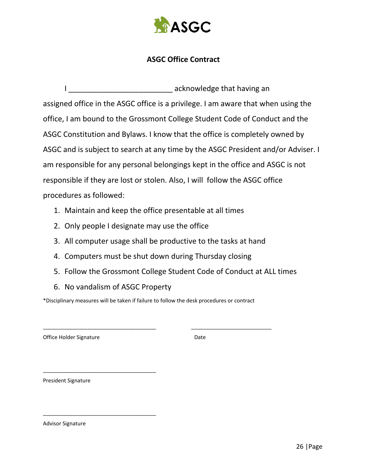

## **ASGC Office Contract**

I acknowledge that having an assigned office in the ASGC office is a privilege. I am aware that when using the office, I am bound to the Grossmont College Student Code of Conduct and the ASGC Constitution and Bylaws. I know that the office is completely owned by ASGC and is subject to search at any time by the ASGC President and/or Adviser. I am responsible for any personal belongings kept in the office and ASGC is not responsible if they are lost or stolen. Also, I will follow the ASGC office procedures as followed:

- 1. Maintain and keep the office presentable at all times
- 2. Only people I designate may use the office
- 3. All computer usage shall be productive to the tasks at hand
- 4. Computers must be shut down during Thursday closing
- 5. Follow the Grossmont College Student Code of Conduct at ALL times
- 6. No vandalism of ASGC Property

\_\_\_\_\_\_\_\_\_\_\_\_\_\_\_\_\_\_\_\_\_\_\_\_\_\_\_\_\_\_\_\_\_\_\_\_\_\_

\_\_\_\_\_\_\_\_\_\_\_\_\_\_\_\_\_\_\_\_\_\_\_\_\_\_\_\_\_\_\_\_\_\_\_\_\_\_

\*Disciplinary measures will be taken if failure to follow the desk procedures or contract

\_\_\_\_\_\_\_\_\_\_\_\_\_\_\_\_\_\_\_\_\_\_\_\_\_\_\_\_\_\_\_\_\_\_\_\_\_\_ \_\_\_\_\_\_\_\_\_\_\_\_\_\_\_\_\_\_\_\_\_\_\_\_\_\_\_

Office Holder Signature **Date** Date

President Signature

Advisor Signature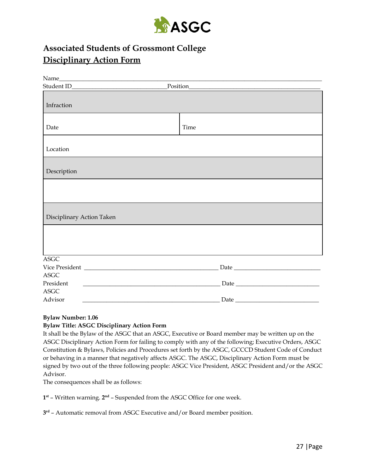

## **Associated Students of Grossmont College Disciplinary Action Form**

| Name                      |                                                                                                                       |      |                                                                                                                                                                                                                                                                                                                                                                                                                                                                                                        |
|---------------------------|-----------------------------------------------------------------------------------------------------------------------|------|--------------------------------------------------------------------------------------------------------------------------------------------------------------------------------------------------------------------------------------------------------------------------------------------------------------------------------------------------------------------------------------------------------------------------------------------------------------------------------------------------------|
|                           |                                                                                                                       |      |                                                                                                                                                                                                                                                                                                                                                                                                                                                                                                        |
|                           |                                                                                                                       |      |                                                                                                                                                                                                                                                                                                                                                                                                                                                                                                        |
| Infraction                |                                                                                                                       |      |                                                                                                                                                                                                                                                                                                                                                                                                                                                                                                        |
|                           |                                                                                                                       |      |                                                                                                                                                                                                                                                                                                                                                                                                                                                                                                        |
| Date                      |                                                                                                                       | Time |                                                                                                                                                                                                                                                                                                                                                                                                                                                                                                        |
|                           |                                                                                                                       |      |                                                                                                                                                                                                                                                                                                                                                                                                                                                                                                        |
| Location                  |                                                                                                                       |      |                                                                                                                                                                                                                                                                                                                                                                                                                                                                                                        |
|                           |                                                                                                                       |      |                                                                                                                                                                                                                                                                                                                                                                                                                                                                                                        |
| Description               |                                                                                                                       |      |                                                                                                                                                                                                                                                                                                                                                                                                                                                                                                        |
|                           |                                                                                                                       |      |                                                                                                                                                                                                                                                                                                                                                                                                                                                                                                        |
|                           |                                                                                                                       |      |                                                                                                                                                                                                                                                                                                                                                                                                                                                                                                        |
|                           |                                                                                                                       |      |                                                                                                                                                                                                                                                                                                                                                                                                                                                                                                        |
| Disciplinary Action Taken |                                                                                                                       |      |                                                                                                                                                                                                                                                                                                                                                                                                                                                                                                        |
|                           |                                                                                                                       |      |                                                                                                                                                                                                                                                                                                                                                                                                                                                                                                        |
|                           |                                                                                                                       |      |                                                                                                                                                                                                                                                                                                                                                                                                                                                                                                        |
|                           |                                                                                                                       |      |                                                                                                                                                                                                                                                                                                                                                                                                                                                                                                        |
| <b>ASGC</b>               |                                                                                                                       |      |                                                                                                                                                                                                                                                                                                                                                                                                                                                                                                        |
|                           |                                                                                                                       |      | ${\small \textsf{Date}} \begin{tabular}{c} \textbf{\textcolor{red}{\bf{2.5}}}\qquad \qquad & \textbf{\textcolor{red}{\bf{2.5}}}\qquad \qquad & \textbf{\textcolor{red}{\bf{2.5}}}\qquad \qquad & \textbf{\textcolor{red}{\bf{2.5}}}\qquad \qquad & \textbf{\textcolor{red}{\bf{2.5}}}\qquad \qquad & \textbf{\textcolor{red}{\bf{2.5}}}\qquad \qquad & \textbf{\textcolor{red}{\bf{2.5}}}\qquad \qquad & \textbf{\textcolor{red}{\bf{2.5}}}\qquad \qquad & \textbf{\textcolor{red}{\bf{2.5}}}\qquad \$ |
| <b>ASGC</b>               |                                                                                                                       |      |                                                                                                                                                                                                                                                                                                                                                                                                                                                                                                        |
| President                 | <u> 1989 - Johann Harry Harry Harry Harry Harry Harry Harry Harry Harry Harry Harry Harry Harry Harry Harry Harry</u> |      | ${\small \textsf{Date}} \hspace{0.03cm} {\small \textsf{Date}}$                                                                                                                                                                                                                                                                                                                                                                                                                                        |
| <b>ASGC</b>               |                                                                                                                       |      |                                                                                                                                                                                                                                                                                                                                                                                                                                                                                                        |
| Advisor                   |                                                                                                                       |      | $\text{Date}\_\_$                                                                                                                                                                                                                                                                                                                                                                                                                                                                                      |

#### **Bylaw Number: 1.06**

#### **Bylaw Title: ASGC Disciplinary Action Form**

It shall be the Bylaw of the ASGC that an ASGC, Executive or Board member may be written up on the ASGC Disciplinary Action Form for failing to comply with any of the following; Executive Orders, ASGC Constitution & Bylaws, Policies and Procedures set forth by the ASGC, GCCCD Student Code of Conduct or behaving in a manner that negatively affects ASGC. The ASGC, Disciplinary Action Form must be signed by two out of the three following people: ASGC Vice President, ASGC President and/or the ASGC Advisor.

The consequences shall be as follows:

**1 st** – Written warning. **2 nd** – Suspended from the ASGC Office for one week.

**3 rd** – Automatic removal from ASGC Executive and/or Board member position.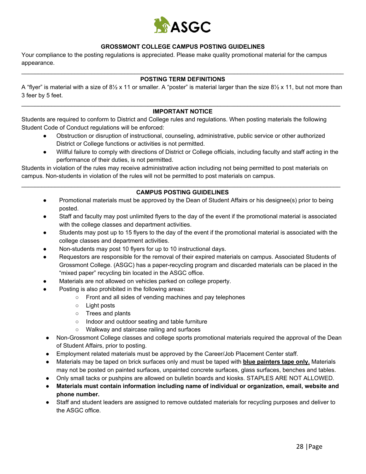

#### **GROSSMONT COLLEGE CAMPUS POSTING GUIDELINES**

Your compliance to the posting regulations is appreciated. Please make quality promotional material for the campus appearance.

#### $\_$  ,  $\_$  ,  $\_$  ,  $\_$  ,  $\_$  ,  $\_$  ,  $\_$  ,  $\_$  ,  $\_$  ,  $\_$  ,  $\_$  ,  $\_$  ,  $\_$  ,  $\_$  ,  $\_$  ,  $\_$  ,  $\_$  ,  $\_$  ,  $\_$  ,  $\_$  ,  $\_$  ,  $\_$  ,  $\_$  ,  $\_$  ,  $\_$  ,  $\_$  ,  $\_$  ,  $\_$  ,  $\_$  ,  $\_$  ,  $\_$  ,  $\_$  ,  $\_$  ,  $\_$  ,  $\_$  ,  $\_$  ,  $\_$  , **POSTING TERM DEFINITIONS**

A "flyer" is material with a size of 8½ x 11 or smaller. A "poster" is material larger than the size 8½ x 11, but not more than 3 feer by 5 feet.

#### $\_$  ,  $\_$  ,  $\_$  ,  $\_$  ,  $\_$  ,  $\_$  ,  $\_$  ,  $\_$  ,  $\_$  ,  $\_$  ,  $\_$  ,  $\_$  ,  $\_$  ,  $\_$  ,  $\_$  ,  $\_$  ,  $\_$  ,  $\_$  ,  $\_$  ,  $\_$  ,  $\_$  ,  $\_$  ,  $\_$  ,  $\_$  ,  $\_$  ,  $\_$  ,  $\_$  ,  $\_$  ,  $\_$  ,  $\_$  ,  $\_$  ,  $\_$  ,  $\_$  ,  $\_$  ,  $\_$  ,  $\_$  ,  $\_$  , **IMPORTANT NOTICE**

Students are required to conform to District and College rules and regulations. When posting materials the following Student Code of Conduct regulations will be enforced:

- Obstruction or disruption of instructional, counseling, administrative, public service or other authorized District or College functions or activities is not permitted.
- Willful failure to comply with directions of District or College officials, including faculty and staff acting in the performance of their duties, is not permitted.

Students in violation of the rules may receive administrative action including not being permitted to post materials on campus. Non-students in violation of the rules will not be permitted to post materials on campus.

#### $\_$  ,  $\_$  ,  $\_$  ,  $\_$  ,  $\_$  ,  $\_$  ,  $\_$  ,  $\_$  ,  $\_$  ,  $\_$  ,  $\_$  ,  $\_$  ,  $\_$  ,  $\_$  ,  $\_$  ,  $\_$  ,  $\_$  ,  $\_$  ,  $\_$  ,  $\_$  ,  $\_$  ,  $\_$  ,  $\_$  ,  $\_$  ,  $\_$  ,  $\_$  ,  $\_$  ,  $\_$  ,  $\_$  ,  $\_$  ,  $\_$  ,  $\_$  ,  $\_$  ,  $\_$  ,  $\_$  ,  $\_$  ,  $\_$  , **CAMPUS POSTING GUIDELINES**

- Promotional materials must be approved by the Dean of Student Affairs or his designee(s) prior to being posted.
- Staff and faculty may post unlimited flyers to the day of the event if the promotional material is associated with the college classes and department activities.
- Students may post up to 15 flyers to the day of the event if the promotional material is associated with the college classes and department activities.
- Non-students may post 10 flyers for up to 10 instructional days.
- Requestors are responsible for the removal of their expired materials on campus. Associated Students of Grossmont College. (ASGC) has a paper-recycling program and discarded materials can be placed in the "mixed paper" recycling bin located in the ASGC office.
- Materials are not allowed on vehicles parked on college property.
- Posting is also prohibited in the following areas:
	- Front and all sides of vending machines and pay telephones
	- Light posts
	- Trees and plants
	- Indoor and outdoor seating and table furniture
	- Walkway and staircase railing and surfaces
- Non-Grossmont College classes and college sports promotional materials required the approval of the Dean of Student Affairs, prior to posting.
- Employment related materials must be approved by the Career/Job Placement Center staff.
- Materials may be taped on brick surfaces only and must be taped with **blue painters tape only.** Materials may not be posted on painted surfaces, unpainted concrete surfaces, glass surfaces, benches and tables.
- Only small tacks or pushpins are allowed on bulletin boards and kiosks. STAPLES ARE NOT ALLOWED.
- **● Materials must contain information including name of individual or organization, email, website and phone number.**
- Staff and student leaders are assigned to remove outdated materials for recycling purposes and deliver to the ASGC office.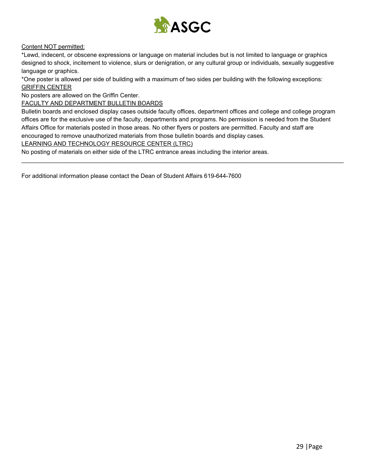

#### Content NOT permitted:

\*Lewd, indecent, or obscene expressions or language on material includes but is not limited to language or graphics designed to shock, incitement to violence, slurs or denigration, or any cultural group or individuals, sexually suggestive language or graphics.

\*One poster is allowed per side of building with a maximum of two sides per building with the following exceptions: GRIFFIN CENTER

No posters are allowed on the Griffin Center.

FACULTY AND DEPARTMENT BULLETIN BOARDS

Bulletin boards and enclosed display cases outside faculty offices, department offices and college and college program offices are for the exclusive use of the faculty, departments and programs. No permission is needed from the Student Affairs Office for materials posted in those areas. No other flyers or posters are permitted. Faculty and staff are encouraged to remove unauthorized materials from those bulletin boards and display cases.

 $\_$  ,  $\_$  ,  $\_$  ,  $\_$  ,  $\_$  ,  $\_$  ,  $\_$  ,  $\_$  ,  $\_$  ,  $\_$  ,  $\_$  ,  $\_$  ,  $\_$  ,  $\_$  ,  $\_$  ,  $\_$  ,  $\_$  ,  $\_$  ,  $\_$  ,  $\_$  ,  $\_$  ,  $\_$  ,  $\_$  ,  $\_$  ,  $\_$  ,  $\_$  ,  $\_$  ,  $\_$  ,  $\_$  ,  $\_$  ,  $\_$  ,  $\_$  ,  $\_$  ,  $\_$  ,  $\_$  ,  $\_$  ,  $\_$  ,

LEARNING AND TECHNOLOGY RESOURCE CENTER (LTRC)

No posting of materials on either side of the LTRC entrance areas including the interior areas.

For additional information please contact the Dean of Student Affairs 619-644-7600